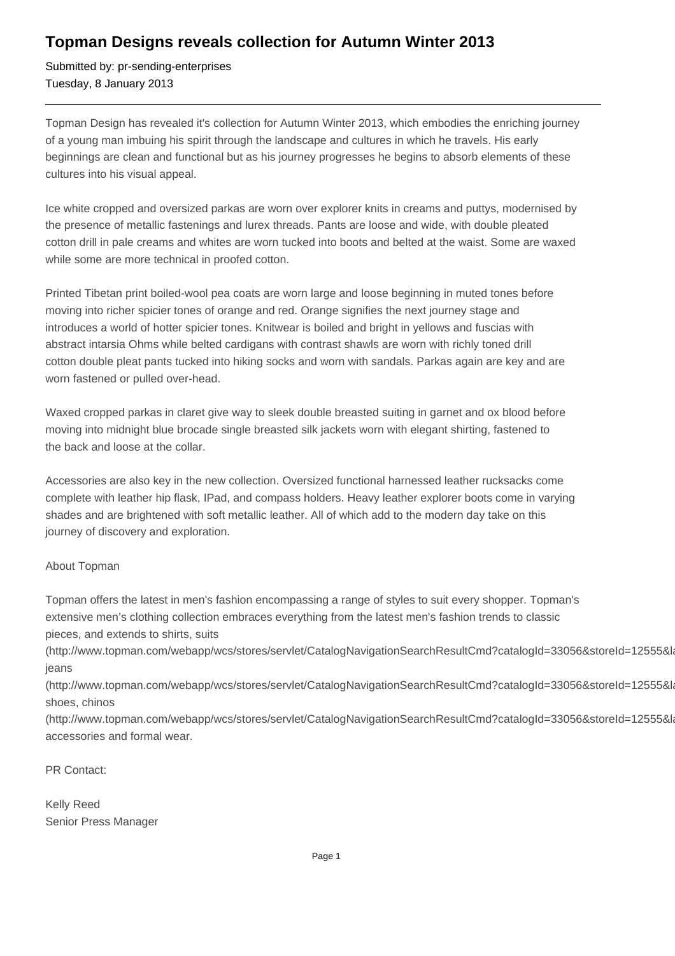## **Topman Designs reveals collection for Autumn Winter 2013**

Submitted by: pr-sending-enterprises Tuesday, 8 January 2013

Topman Design has revealed it's collection for Autumn Winter 2013, which embodies the enriching journey of a young man imbuing his spirit through the landscape and cultures in which he travels. His early beginnings are clean and functional but as his journey progresses he begins to absorb elements of these cultures into his visual appeal.

Ice white cropped and oversized parkas are worn over explorer knits in creams and puttys, modernised by the presence of metallic fastenings and lurex threads. Pants are loose and wide, with double pleated cotton drill in pale creams and whites are worn tucked into boots and belted at the waist. Some are waxed while some are more technical in proofed cotton.

Printed Tibetan print boiled-wool pea coats are worn large and loose beginning in muted tones before moving into richer spicier tones of orange and red. Orange signifies the next journey stage and introduces a world of hotter spicier tones. Knitwear is boiled and bright in yellows and fuscias with abstract intarsia Ohms while belted cardigans with contrast shawls are worn with richly toned drill cotton double pleat pants tucked into hiking socks and worn with sandals. Parkas again are key and are worn fastened or pulled over-head.

Waxed cropped parkas in claret give way to sleek double breasted suiting in garnet and ox blood before moving into midnight blue brocade single breasted silk jackets worn with elegant shirting, fastened to the back and loose at the collar.

Accessories are also key in the new collection. Oversized functional harnessed leather rucksacks come complete with leather hip flask, IPad, and compass holders. Heavy leather explorer boots come in varying shades and are brightened with soft metallic leather. All of which add to the modern day take on this journey of discovery and exploration.

## About Topman

Topman offers the latest in men's fashion encompassing a range of styles to suit every shopper. Topman's extensive men's clothing collection embraces everything from the latest men's fashion trends to classic pieces, and extends to shirts, suits

(http://www.topman.com/webapp/wcs/stores/servlet/CatalogNavigationSearchResultCmd?catalogId=33056&storeId=12555&la jeans

(http://www.topman.com/webapp/wcs/stores/servlet/CatalogNavigationSearchResultCmd?catalogId=33056&storeId=12555&la shoes, chinos

(http://www.topman.com/webapp/wcs/stores/servlet/CatalogNavigationSearchResultCmd?catalogId=33056&storeId=12555&la accessories and formal wear.

PR Contact:

Kelly Reed Senior Press Manager